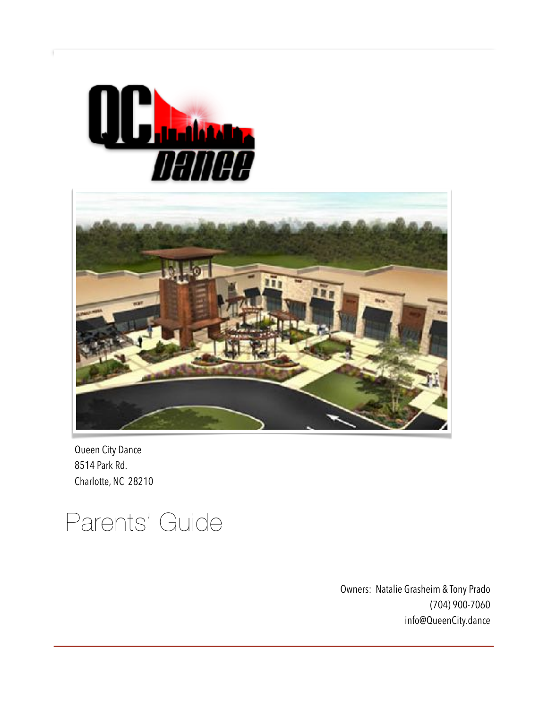



Queen City Dance 8514 Park Rd. Charlotte, NC 28210

# Parents' Guide

Owners: Natalie Grasheim & Tony Prado (704) 900-7060 info@QueenCity.dance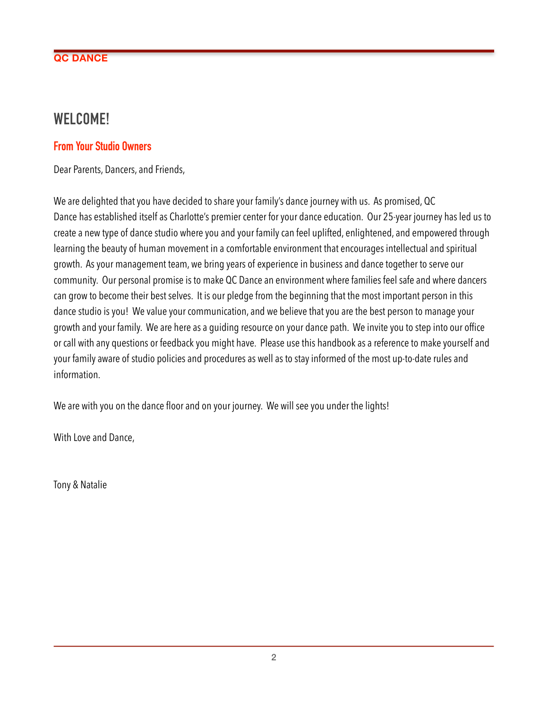# **WELCOME!**

### **From Your Studio Owners**

Dear Parents, Dancers, and Friends,

We are delighted that you have decided to share your family's dance journey with us. As promised, QC Dance has established itself as Charlotte's premier center for your dance education. Our 25-year journey has led us to create a new type of dance studio where you and your family can feel uplifted, enlightened, and empowered through learning the beauty of human movement in a comfortable environment that encourages intellectual and spiritual growth. As your management team, we bring years of experience in business and dance together to serve our community. Our personal promise is to make QC Dance an environment where families feel safe and where dancers can grow to become their best selves. It is our pledge from the beginning that the most important person in this dance studio is you! We value your communication, and we believe that you are the best person to manage your growth and your family. We are here as a guiding resource on your dance path. We invite you to step into our office or call with any questions or feedback you might have. Please use this handbook as a reference to make yourself and your family aware of studio policies and procedures as well as to stay informed of the most up-to-date rules and information.

We are with you on the dance floor and on your journey. We will see you under the lights!

With Love and Dance,

Tony & Natalie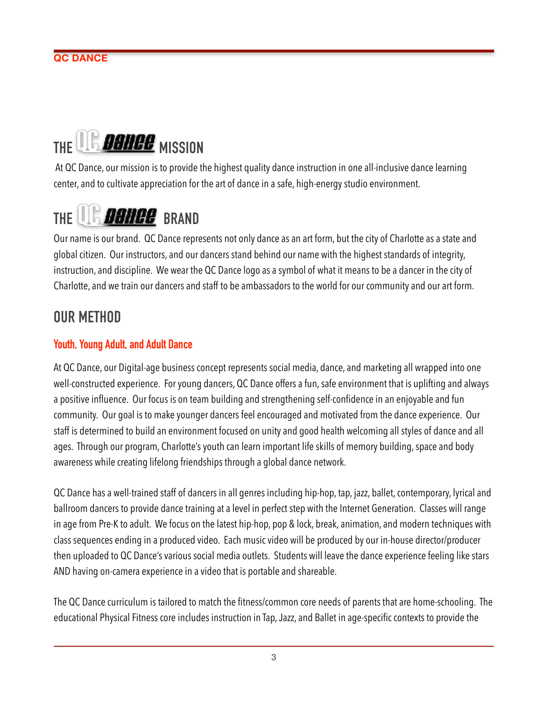# THE **MISSION**

 At QC Dance, our mission is to provide the highest quality dance instruction in one all-inclusive dance learning center, and to cultivate appreciation for the art of dance in a safe, high-energy studio environment.

# THE **BRAND** BRAND

Our name is our brand. QC Dance represents not only dance as an art form, but the city of Charlotte as a state and global citizen. Our instructors, and our dancers stand behind our name with the highest standards of integrity, instruction, and discipline. We wear the QC Dance logo as a symbol of what it means to be a dancer in the city of Charlotte, and we train our dancers and staff to be ambassadors to the world for our community and our art form.

# **OUR METHOD**

# **Youth, Young Adult, and Adult Dance**

At QC Dance, our Digital-age business concept represents social media, dance, and marketing all wrapped into one well-constructed experience. For young dancers, QC Dance offers a fun, safe environment that is uplifting and always a positive influence. Our focus is on team building and strengthening self-confidence in an enjoyable and fun community. Our goal is to make younger dancers feel encouraged and motivated from the dance experience. Our staff is determined to build an environment focused on unity and good health welcoming all styles of dance and all ages. Through our program, Charlotte's youth can learn important life skills of memory building, space and body awareness while creating lifelong friendships through a global dance network.

QC Dance has a well-trained staff of dancers in all genres including hip-hop, tap, jazz, ballet, contemporary, lyrical and ballroom dancers to provide dance training at a level in perfect step with the Internet Generation. Classes will range in age from Pre-K to adult. We focus on the latest hip-hop, pop & lock, break, animation, and modern techniques with class sequences ending in a produced video. Each music video will be produced by our in-house director/producer then uploaded to QC Dance's various social media outlets. Students will leave the dance experience feeling like stars AND having on-camera experience in a video that is portable and shareable.

The QC Dance curriculum is tailored to match the fitness/common core needs of parents that are home-schooling. The educational Physical Fitness core includes instruction in Tap, Jazz, and Ballet in age-specific contexts to provide the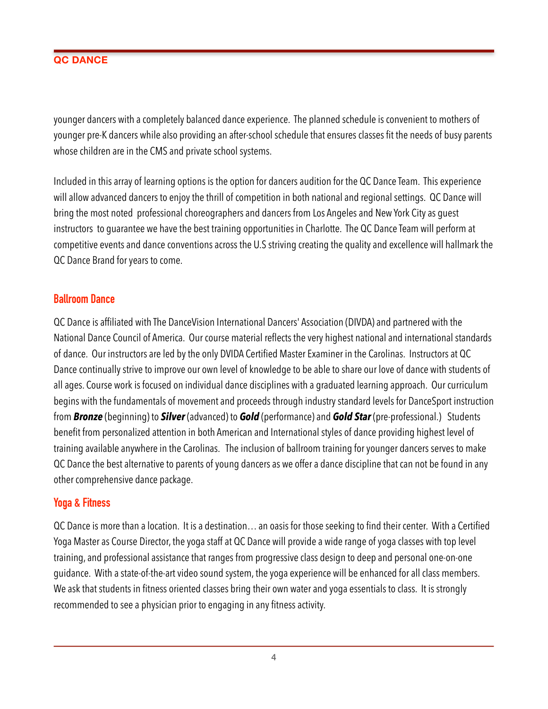younger dancers with a completely balanced dance experience. The planned schedule is convenient to mothers of younger pre-K dancers while also providing an after-school schedule that ensures classes fit the needs of busy parents whose children are in the CMS and private school systems.

Included in this array of learning options is the option for dancers audition for the QC Dance Team. This experience will allow advanced dancers to enjoy the thrill of competition in both national and regional settings. QC Dance will bring the most noted professional choreographers and dancers from Los Angeles and New York City as guest instructors to guarantee we have the best training opportunities in Charlotte. The QC Dance Team will perform at competitive events and dance conventions across the U.S striving creating the quality and excellence will hallmark the QC Dance Brand for years to come.

# **Ballroom Dance**

QC Dance is affiliated with The DanceVision International Dancers' Association (DIVDA) and partnered with the National Dance Council of America. Our course material reflects the very highest national and international standards of dance. Our instructors are led by the only DVIDA Certified Master Examiner in the Carolinas. Instructors at QC Dance continually strive to improve our own level of knowledge to be able to share our love of dance with students of all ages. Course work is focused on individual dance disciplines with a graduated learning approach. Our curriculum begins with the fundamentals of movement and proceeds through industry standard levels for DanceSport instruction from *Bronze* (beginning) to *Silver* (advanced) to *Gold* (performance) and *Gold Star* (pre-professional.) Students benefit from personalized attention in both American and International styles of dance providing highest level of training available anywhere in the Carolinas. The inclusion of ballroom training for younger dancers serves to make QC Dance the best alternative to parents of young dancers as we offer a dance discipline that can not be found in any other comprehensive dance package.

# **Yoga & Fitness**

QC Dance is more than a location. It is a destination… an oasis for those seeking to find their center. With a Certified Yoga Master as Course Director, the yoga staff at QC Dance will provide a wide range of yoga classes with top level training, and professional assistance that ranges from progressive class design to deep and personal one-on-one guidance. With a state-of-the-art video sound system, the yoga experience will be enhanced for all class members. We ask that students in fitness oriented classes bring their own water and yoga essentials to class. It is strongly recommended to see a physician prior to engaging in any fitness activity.

4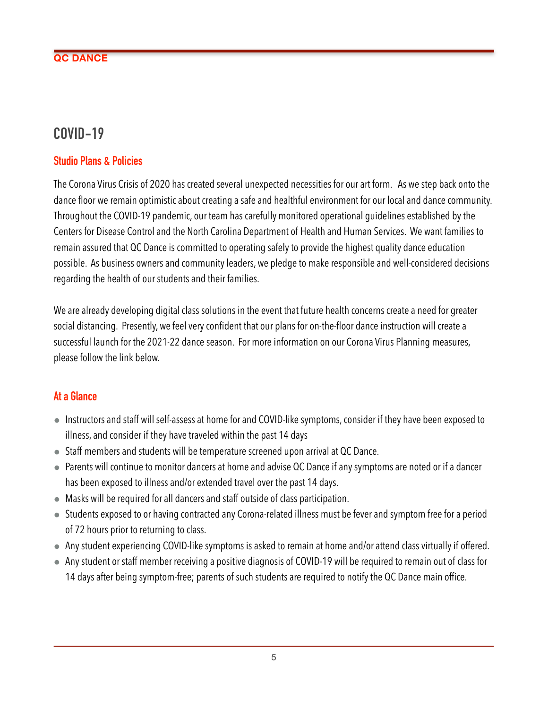# **COVID-19**

# **Studio Plans & Policies**

The Corona Virus Crisis of 2020 has created several unexpected necessities for our art form. As we step back onto the dance floor we remain optimistic about creating a safe and healthful environment for our local and dance community. Throughout the COVID-19 pandemic, our team has carefully monitored operational guidelines established by the Centers for Disease Control and the North Carolina Department of Health and Human Services. We want families to remain assured that QC Dance is committed to operating safely to provide the highest quality dance education possible. As business owners and community leaders, we pledge to make responsible and well-considered decisions regarding the health of our students and their families.

We are already developing digital class solutions in the event that future health concerns create a need for greater social distancing. Presently, we feel very confident that our plans for on-the-floor dance instruction will create a successful launch for the 2021-22 dance season. For more information on our Corona Virus Planning measures, please follow the link below.

# **At a Glance**

- Instructors and staff will self-assess at home for and COVID-like symptoms, consider if they have been exposed to illness, and consider if they have traveled within the past 14 days
- Staff members and students will be temperature screened upon arrival at QC Dance.
- Parents will continue to monitor dancers at home and advise QC Dance if any symptoms are noted or if a dancer has been exposed to illness and/or extended travel over the past 14 days.
- Masks will be required for all dancers and staff outside of class participation.
- Students exposed to or having contracted any Corona-related illness must be fever and symptom free for a period of 72 hours prior to returning to class.
- Any student experiencing COVID-like symptoms is asked to remain at home and/or attend class virtually if offered.
- Any student or staff member receiving a positive diagnosis of COVID-19 will be required to remain out of class for 14 days after being symptom-free; parents of such students are required to notify the QC Dance main office.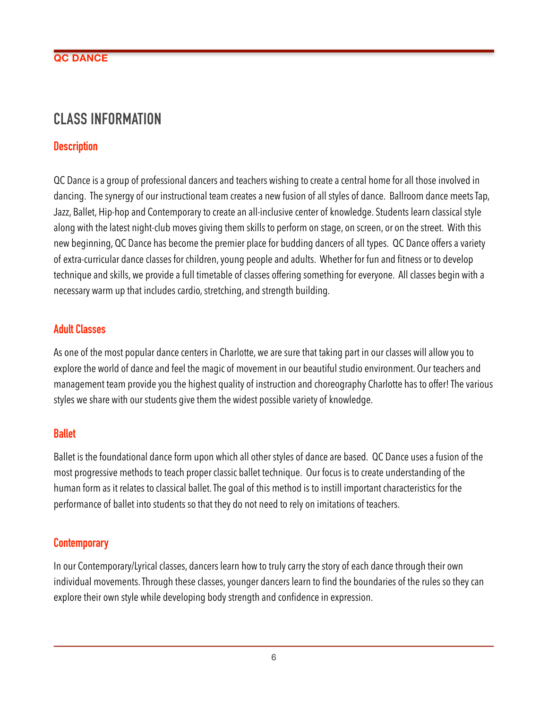# **CLASS INFORMATION**

# **Description**

QC Dance is a group of professional dancers and teachers wishing to create a central home for all those involved in dancing. The synergy of our instructional team creates a new fusion of all styles of dance. Ballroom dance meets Tap, Jazz, Ballet, Hip-hop and Contemporary to create an all-inclusive center of knowledge. Students learn classical style along with the latest night-club moves giving them skills to perform on stage, on screen, or on the street. With this new beginning, QC Dance has become the premier place for budding dancers of all types. QC Dance offers a variety of extra-curricular dance classes for children, young people and adults. Whether for fun and fitness or to develop technique and skills, we provide a full timetable of classes offering something for everyone. All classes begin with a necessary warm up that includes cardio, stretching, and strength building.

# **Adult Classes**

As one of the most popular dance centers in Charlotte, we are sure that taking part in our classes will allow you to explore the world of dance and feel the magic of movement in our beautiful studio environment. Our teachers and management team provide you the highest quality of instruction and choreography Charlotte has to offer! The various styles we share with our students give them the widest possible variety of knowledge.

#### **Ballet**

Ballet is the foundational dance form upon which all other styles of dance are based. QC Dance uses a fusion of the most progressive methods to teach proper classic ballet technique. Our focus is to create understanding of the human form as it relates to classical ballet. The goal of this method is to instill important characteristics for the performance of ballet into students so that they do not need to rely on imitations of teachers.

#### **Contemporary**

In our Contemporary/Lyrical classes, dancers learn how to truly carry the story of each dance through their own individual movements. Through these classes, younger dancers learn to find the boundaries of the rules so they can explore their own style while developing body strength and confidence in expression.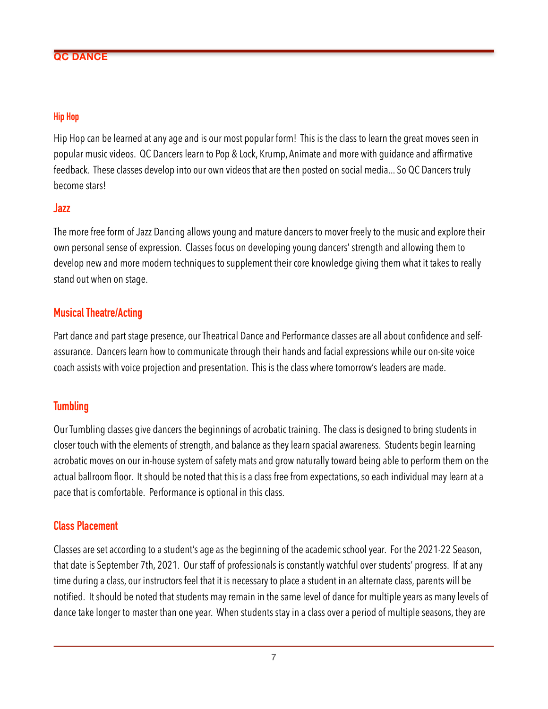#### **Hip Hop**

Hip Hop can be learned at any age and is our most popular form! This is the class to learn the great moves seen in popular music videos. QC Dancers learn to Pop & Lock, Krump, Animate and more with guidance and affirmative feedback. These classes develop into our own videos that are then posted on social media... So QC Dancers truly become stars!

#### **Jazz**

The more free form of Jazz Dancing allows young and mature dancers to mover freely to the music and explore their own personal sense of expression. Classes focus on developing young dancers' strength and allowing them to develop new and more modern techniques to supplement their core knowledge giving them what it takes to really stand out when on stage.

#### **Musical Theatre/Acting**

Part dance and part stage presence, our Theatrical Dance and Performance classes are all about confidence and selfassurance. Dancers learn how to communicate through their hands and facial expressions while our on-site voice coach assists with voice projection and presentation. This is the class where tomorrow's leaders are made.

#### **Tumbling**

Our Tumbling classes give dancers the beginnings of acrobatic training. The class is designed to bring students in closer touch with the elements of strength, and balance as they learn spacial awareness. Students begin learning acrobatic moves on our in-house system of safety mats and grow naturally toward being able to perform them on the actual ballroom floor. It should be noted that this is a class free from expectations, so each individual may learn at a pace that is comfortable. Performance is optional in this class.

#### **Class Placement**

Classes are set according to a student's age as the beginning of the academic school year. For the 2021-22 Season, that date is September 7th, 2021. Our staff of professionals is constantly watchful over students' progress. If at any time during a class, our instructors feel that it is necessary to place a student in an alternate class, parents will be notified. It should be noted that students may remain in the same level of dance for multiple years as many levels of dance take longer to master than one year. When students stay in a class over a period of multiple seasons, they are

7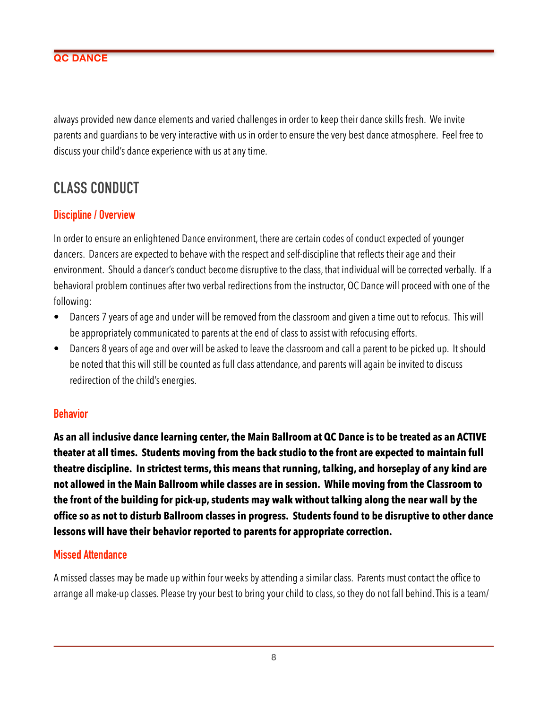always provided new dance elements and varied challenges in order to keep their dance skills fresh. We invite parents and guardians to be very interactive with us in order to ensure the very best dance atmosphere. Feel free to discuss your child's dance experience with us at any time.

# **CLASS CONDUCT**

# **Discipline / Overview**

In order to ensure an enlightened Dance environment, there are certain codes of conduct expected of younger dancers. Dancers are expected to behave with the respect and self-discipline that reflects their age and their environment. Should a dancer's conduct become disruptive to the class, that individual will be corrected verbally. If a behavioral problem continues after two verbal redirections from the instructor, QC Dance will proceed with one of the following:

- Dancers 7 years of age and under will be removed from the classroom and given a time out to refocus. This will be appropriately communicated to parents at the end of class to assist with refocusing efforts.
- Dancers 8 years of age and over will be asked to leave the classroom and call a parent to be picked up. It should be noted that this will still be counted as full class attendance, and parents will again be invited to discuss redirection of the child's energies.

#### **Behavior**

**As an all inclusive dance learning center, the Main Ballroom at QC Dance is to be treated as an ACTIVE theater at all times. Students moving from the back studio to the front are expected to maintain full theatre discipline. In strictest terms, this means that running, talking, and horseplay of any kind are not allowed in the Main Ballroom while classes are in session. While moving from the Classroom to the front of the building for pick-up, students may walk without talking along the near wall by the office so as not to disturb Ballroom classes in progress. Students found to be disruptive to other dance lessons will have their behavior reported to parents for appropriate correction.**

#### **Missed Attendance**

A missed classes may be made up within four weeks by attending a similar class. Parents must contact the office to arrange all make-up classes. Please try your best to bring your child to class, so they do not fall behind. This is a team/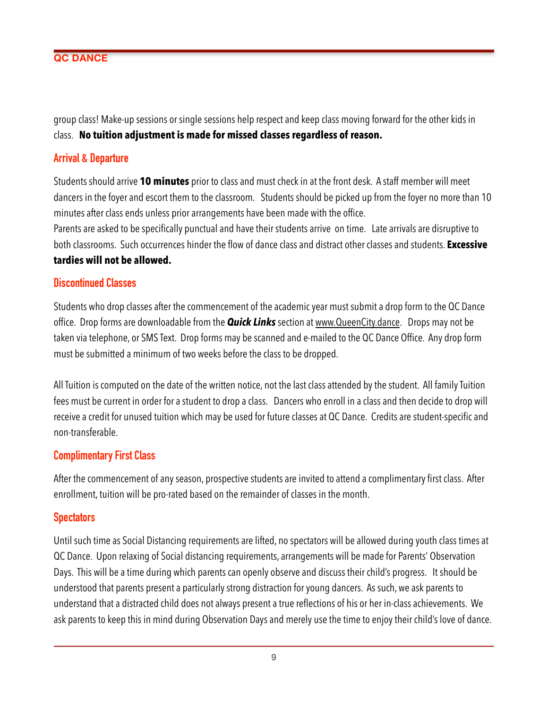group class! Make-up sessions or single sessions help respect and keep class moving forward for the other kids in class. **No tuition adjustment is made for missed classes regardless of reason.** 

### **Arrival & Departure**

Students should arrive **10 minutes** prior to class and must check in at the front desk. A staff member will meet dancers in the foyer and escort them to the classroom. Students should be picked up from the foyer no more than 10 minutes after class ends unless prior arrangements have been made with the office.

Parents are asked to be specifically punctual and have their students arrive on time. Late arrivals are disruptive to both classrooms. Such occurrences hinder the flow of dance class and distract other classes and students. **Excessive tardies will not be allowed.**

#### **Discontinued Classes**

Students who drop classes after the commencement of the academic year must submit a drop form to the QC Dance office. Drop forms are downloadable from the *Quick Links* section at [www.QueenCity.dance.](http://www.QueenCity.dance) Drops may not be taken via telephone, or SMS Text. Drop forms may be scanned and e-mailed to the QC Dance Office. Any drop form must be submitted a minimum of two weeks before the class to be dropped.

All Tuition is computed on the date of the written notice, not the last class attended by the student. All family Tuition fees must be current in order for a student to drop a class. Dancers who enroll in a class and then decide to drop will receive a credit for unused tuition which may be used for future classes at QC Dance. Credits are student-specific and non-transferable.

#### **Complimentary First Class**

After the commencement of any season, prospective students are invited to attend a complimentary first class. After enrollment, tuition will be pro-rated based on the remainder of classes in the month.

#### **Spectators**

Until such time as Social Distancing requirements are lifted, no spectators will be allowed during youth class times at QC Dance. Upon relaxing of Social distancing requirements, arrangements will be made for Parents' Observation Days. This will be a time during which parents can openly observe and discuss their child's progress. It should be understood that parents present a particularly strong distraction for young dancers. As such, we ask parents to understand that a distracted child does not always present a true reflections of his or her in-class achievements. We ask parents to keep this in mind during Observation Days and merely use the time to enjoy their child's love of dance.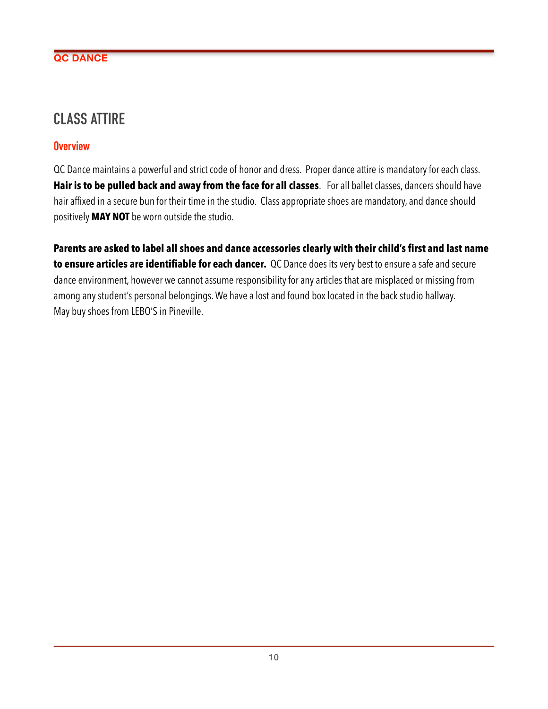# **CLASS ATTIRE**

# **Overview**

QC Dance maintains a powerful and strict code of honor and dress. Proper dance attire is mandatory for each class. **Hair is to be pulled back and away from the face for all classes**. For all ballet classes, dancers should have hair affixed in a secure bun for their time in the studio. Class appropriate shoes are mandatory, and dance should positively **MAY NOT** be worn outside the studio.

**Parents are asked to label all shoes and dance accessories clearly with their child's first and last name to ensure articles are identifiable for each dancer.** QC Dance does its very best to ensure a safe and secure dance environment, however we cannot assume responsibility for any articles that are misplaced or missing from among any student's personal belongings. We have a lost and found box located in the back studio hallway. May buy shoes from LEBO'S in Pineville.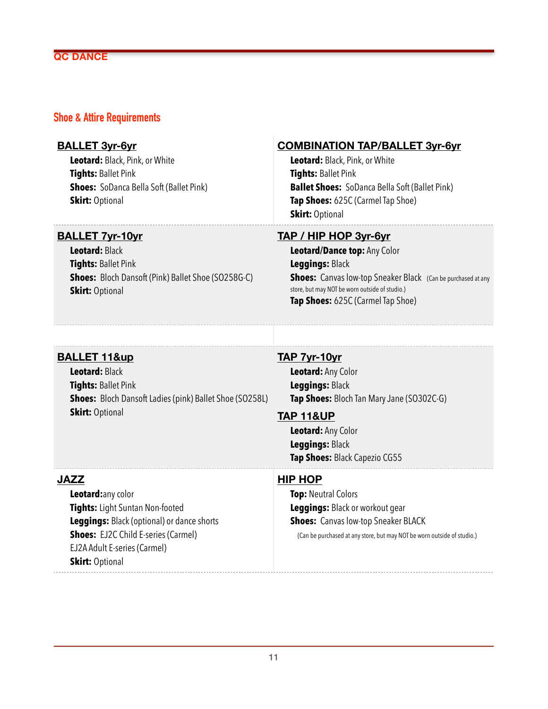#### **Shoe & Attire Requirements**

#### **BALLET 3yr-6yr**

**Leotard:** Black, Pink, or White **Tights:** Ballet Pink **Shoes:** SoDanca Bella Soft (Ballet Pink) **Skirt: Optional** 

# **COMBINATION TAP/BALLET 3yr-6yr**

**Leotard:** Black, Pink, or White **Tights:** Ballet Pink **Ballet Shoes:** SoDanca Bella Soft (Ballet Pink) **Tap Shoes:** 625C (Carmel Tap Shoe) **Skirt:** Optional

#### **BALLET 7yr-10yr**

**Leotard:** Black **Tights:** Ballet Pink **Shoes:** Bloch Dansoft (Pink) Ballet Shoe (SO258G-C) **Skirt: Optional** 

#### **TAP / HIP HOP 3yr-6yr**

**Leotard/Dance top:** Any Color **Leggings:** Black **Shoes:** Canvas low-top Sneaker Black (Can be purchased at any store, but may NOT be worn outside of studio.) **Tap Shoes:** 625C (Carmel Tap Shoe)

### **BALLET 11&up**

**Leotard:** Black **Tights:** Ballet Pink **Shoes:** Bloch Dansoft Ladies (pink) Ballet Shoe (SO258L) **Skirt: Optional** 

#### **TAP 7yr-10yr**

**Leotard:** Any Color **Leggings:** Black **Tap Shoes:** Bloch Tan Mary Jane (SO302C-G)

#### **TAP 11&UP**

**Leotard:** Any Color **Leggings:** Black **Tap Shoes:** Black Capezio CG55

#### **JAZZ**

**Leotard:**any color **Tights:** Light Suntan Non-footed **Leggings:** Black (optional) or dance shorts **Shoes:** EJ2C Child E-series (Carmel) EJ2A Adult E-series (Carmel) **Skirt: Optional** 

#### **HIP HOP**

**Top:** Neutral Colors **Leggings:** Black or workout gear **Shoes:** Canvas low-top Sneaker BLACK (Can be purchased at any store, but may NOT be worn outside of studio.)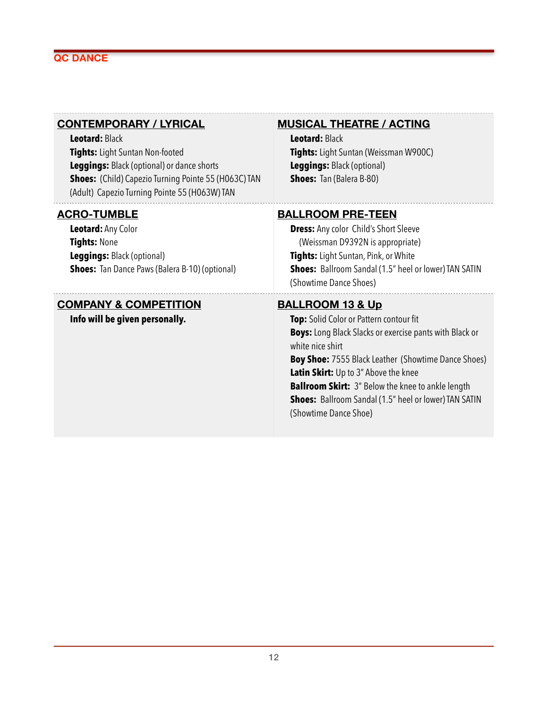#### **CONTEMPORARY / LYRICAL**

**Leotard:** Black **Tights:** Light Suntan Non-footed **Leggings:** Black (optional) or dance shorts **Shoes:** (Child) Capezio Turning Pointe 55 (H063C) TAN (Adult) Capezio Turning Pointe 55 (H063W) TAN

#### **ACRO-TUMBLE**

**Leotard:** Any Color **Tights:** None **Leggings:** Black (optional) **Shoes:** Tan Dance Paws (Balera B-10) (optional)

#### **COMPANY & COMPETITION**

**Info will be given personally.** 

#### **MUSICAL THEATRE / ACTING**

**Leotard:** Black **Tights:** Light Suntan (Weissman W900C) **Leggings:** Black (optional) **Shoes:** Tan (Balera B-80)

#### **BALLROOM PRE-TEEN**

**Dress:** Any color Child's Short Sleeve (Weissman D9392N is appropriate) **Tights:** Light Suntan, Pink, or White **Shoes:** Ballroom Sandal (1.5" heel or lower) TAN SATIN (Showtime Dance Shoes)

#### **BALLROOM 13 & Up**

**Top:** Solid Color or Pattern contour fit **Boys:** Long Black Slacks or exercise pants with Black or white nice shirt **Boy Shoe:** 7555 Black Leather (Showtime Dance Shoes) **Latin Skirt:** Up to 3" Above the knee **Ballroom Skirt:** 3" Below the knee to ankle length **Shoes:** Ballroom Sandal (1.5" heel or lower) TAN SATIN (Showtime Dance Shoe)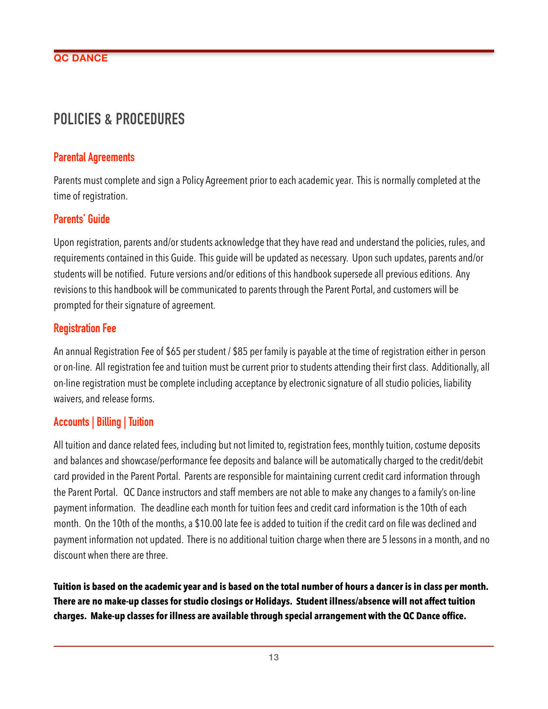# **POLICIES & PROCEDURES**

#### **Parental Agreements**

Parents must complete and sign a Policy Agreement prior to each academic year. This is normally completed at the time of registration.

# **Parents' Guide**

Upon registration, parents and/or students acknowledge that they have read and understand the policies, rules, and requirements contained in this Guide. This guide will be updated as necessary. Upon such updates, parents and/or students will be notified. Future versions and/or editions of this handbook supersede all previous editions. Any revisions to this handbook will be communicated to parents through the Parent Portal, and customers will be prompted for their signature of agreement.

# **Registration Fee**

An annual Registration Fee of \$65 per student / \$85 per family is payable at the time of registration either in person or on-line. All registration fee and tuition must be current prior to students attending their first class. Additionally, all on-line registration must be complete including acceptance by electronic signature of all studio policies, liability waivers, and release forms.

# **Accounts | Billing | Tuition**

All tuition and dance related fees, including but not limited to, registration fees, monthly tuition, costume deposits and balances and showcase/performance fee deposits and balance will be automatically charged to the credit/debit card provided in the Parent Portal. Parents are responsible for maintaining current credit card information through the Parent Portal. QC Dance instructors and staff members are not able to make any changes to a family's on-line payment information. The deadline each month for tuition fees and credit card information is the 10th of each month. On the 10th of the months, a \$10.00 late fee is added to tuition if the credit card on file was declined and payment information not updated. There is no additional tuition charge when there are 5 lessons in a month, and no discount when there are three.

**Tuition is based on the academic year and is based on the total number of hours a dancer is in class per month. There are no make-up classes for studio closings or Holidays. Student illness/absence will not affect tuition charges. Make-up classes for illness are available through special arrangement with the QC Dance office.**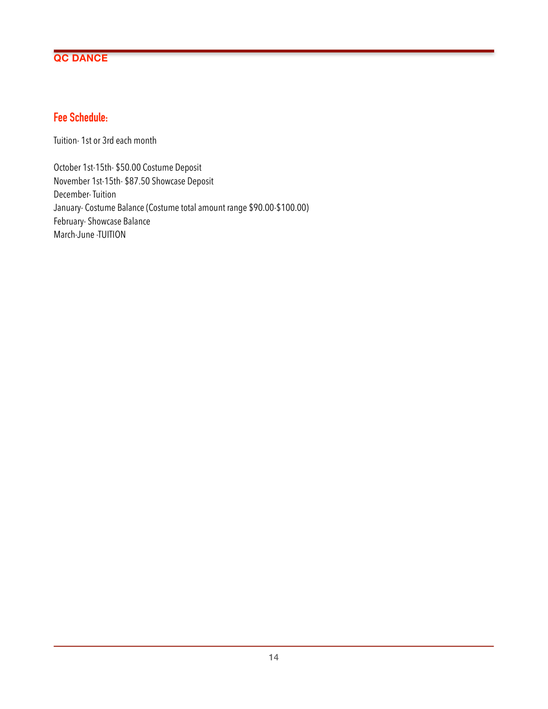# **Fee Schedule:**

Tuition- 1st or 3rd each month

October 1st-15th- \$50.00 Costume Deposit November 1st-15th- \$87.50 Showcase Deposit December- Tuition January- Costume Balance (Costume total amount range \$90.00-\$100.00) February- Showcase Balance March-June -TUITION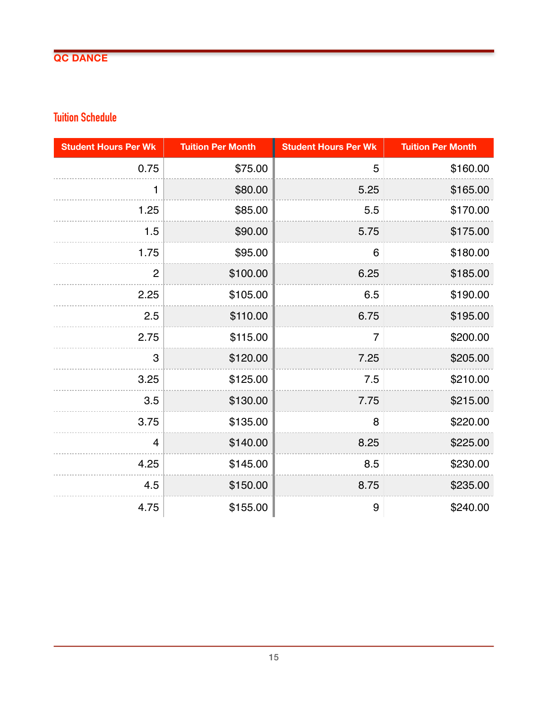# **Tuition Schedule**

| <b>Student Hours Per Wk</b> | <b>Tuition Per Month</b> | <b>Student Hours Per Wk</b> | <b>Tuition Per Month</b> |
|-----------------------------|--------------------------|-----------------------------|--------------------------|
| 0.75                        | \$75.00                  | 5                           | \$160.00                 |
| 1                           | \$80.00                  | 5.25                        | \$165.00                 |
| 1.25                        | \$85.00                  | 5.5                         | \$170.00                 |
| 1.5                         | \$90.00                  | 5.75                        | \$175.00                 |
| 1.75                        | \$95.00                  | 6                           | \$180.00                 |
| $\overline{2}$              | \$100.00                 | 6.25                        | \$185.00                 |
| 2.25                        | \$105.00                 | 6.5                         | \$190.00                 |
| 2.5                         | \$110.00                 | 6.75                        | \$195.00                 |
| 2.75                        | \$115.00                 | $\overline{7}$              | \$200.00                 |
| 3                           | \$120.00                 | 7.25                        | \$205.00                 |
| 3.25                        | \$125.00                 | 7.5                         | \$210.00                 |
| 3.5                         | \$130.00                 | 7.75                        | \$215.00                 |
| 3.75                        | \$135.00                 | 8                           | \$220.00                 |
| $\overline{4}$              | \$140.00                 | 8.25                        | \$225.00                 |
| 4.25                        | \$145.00                 | 8.5                         | \$230.00                 |
| 4.5                         | \$150.00                 | 8.75                        | \$235.00                 |
| 4.75                        | \$155.00                 | 9                           | \$240.00                 |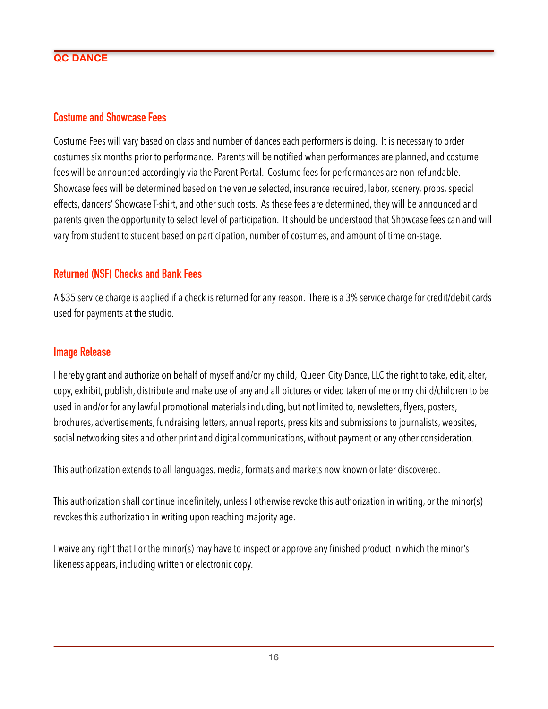#### **Costume and Showcase Fees**

Costume Fees will vary based on class and number of dances each performers is doing. It is necessary to order costumes six months prior to performance. Parents will be notified when performances are planned, and costume fees will be announced accordingly via the Parent Portal. Costume fees for performances are non-refundable. Showcase fees will be determined based on the venue selected, insurance required, labor, scenery, props, special effects, dancers' Showcase T-shirt, and other such costs. As these fees are determined, they will be announced and parents given the opportunity to select level of participation. It should be understood that Showcase fees can and will vary from student to student based on participation, number of costumes, and amount of time on-stage.

# **Returned (NSF) Checks and Bank Fees**

A \$35 service charge is applied if a check is returned for any reason. There is a 3% service charge for credit/debit cards used for payments at the studio.

#### **Image Release**

I hereby grant and authorize on behalf of myself and/or my child, Queen City Dance, LLC the right to take, edit, alter, copy, exhibit, publish, distribute and make use of any and all pictures or video taken of me or my child/children to be used in and/or for any lawful promotional materials including, but not limited to, newsletters, flyers, posters, brochures, advertisements, fundraising letters, annual reports, press kits and submissions to journalists, websites, social networking sites and other print and digital communications, without payment or any other consideration.

This authorization extends to all languages, media, formats and markets now known or later discovered.

This authorization shall continue indefinitely, unless I otherwise revoke this authorization in writing, or the minor(s) revokes this authorization in writing upon reaching majority age.

I waive any right that I or the minor(s) may have to inspect or approve any finished product in which the minor's likeness appears, including written or electronic copy.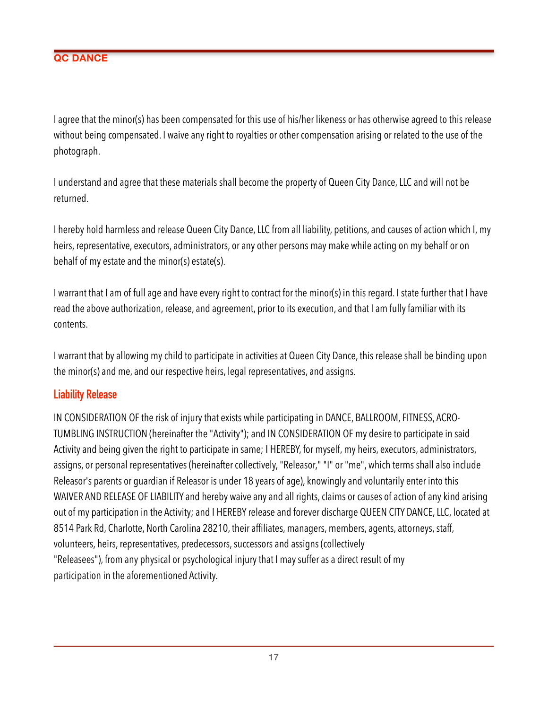I agree that the minor(s) has been compensated for this use of his/her likeness or has otherwise agreed to this release without being compensated. I waive any right to royalties or other compensation arising or related to the use of the photograph.

I understand and agree that these materials shall become the property of Queen City Dance, LLC and will not be returned.

I hereby hold harmless and release Queen City Dance, LLC from all liability, petitions, and causes of action which I, my heirs, representative, executors, administrators, or any other persons may make while acting on my behalf or on behalf of my estate and the minor(s) estate(s).

I warrant that I am of full age and have every right to contract for the minor(s) in this regard. I state further that I have read the above authorization, release, and agreement, prior to its execution, and that I am fully familiar with its contents.

I warrant that by allowing my child to participate in activities at Queen City Dance, this release shall be binding upon the minor(s) and me, and our respective heirs, legal representatives, and assigns.

#### **Liability Release**

IN CONSIDERATION OF the risk of injury that exists while participating in DANCE, BALLROOM, FITNESS, ACRO-TUMBLING INSTRUCTION (hereinafter the "Activity"); and IN CONSIDERATION OF my desire to participate in said Activity and being given the right to participate in same; I HEREBY, for myself, my heirs, executors, administrators, assigns, or personal representatives (hereinafter collectively, "Releasor," "I" or "me", which terms shall also include Releasor's parents or guardian if Releasor is under 18 years of age), knowingly and voluntarily enter into this WAIVER AND RELEASE OF LIABILITY and hereby waive any and all rights, claims or causes of action of any kind arising out of my participation in the Activity; and I HEREBY release and forever discharge QUEEN CITY DANCE, LLC, located at 8514 Park Rd, Charlotte, North Carolina 28210, their affiliates, managers, members, agents, attorneys, staff, volunteers, heirs, representatives, predecessors, successors and assigns (collectively "Releasees"), from any physical or psychological injury that I may suffer as a direct result of my participation in the aforementioned Activity.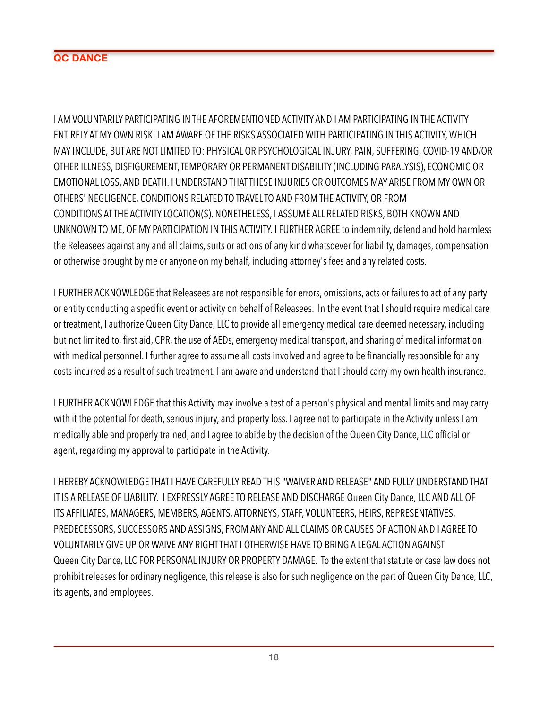I AM VOLUNTARILY PARTICIPATING IN THE AFOREMENTIONED ACTIVITY AND I AM PARTICIPATING IN THE ACTIVITY ENTIRELY AT MY OWN RISK. I AM AWARE OF THE RISKS ASSOCIATED WITH PARTICIPATING IN THIS ACTIVITY, WHICH MAY INCLUDE, BUT ARE NOT LIMITED TO: PHYSICAL OR PSYCHOLOGICAL INJURY, PAIN, SUFFERING, COVID-19 AND/OR OTHER ILLNESS, DISFIGUREMENT, TEMPORARY OR PERMANENT DISABILITY (INCLUDING PARALYSIS), ECONOMIC OR EMOTIONAL LOSS, AND DEATH. I UNDERSTAND THAT THESE INJURIES OR OUTCOMES MAY ARISE FROM MY OWN OR OTHERS' NEGLIGENCE, CONDITIONS RELATED TO TRAVEL TO AND FROM THE ACTIVITY, OR FROM CONDITIONS AT THE ACTIVITY LOCATION(S). NONETHELESS, I ASSUME ALL RELATED RISKS, BOTH KNOWN AND UNKNOWN TO ME, OF MY PARTICIPATION IN THIS ACTIVITY. I FURTHER AGREE to indemnify, defend and hold harmless the Releasees against any and all claims, suits or actions of any kind whatsoever for liability, damages, compensation or otherwise brought by me or anyone on my behalf, including attorney's fees and any related costs.

I FURTHER ACKNOWLEDGE that Releasees are not responsible for errors, omissions, acts or failures to act of any party or entity conducting a specific event or activity on behalf of Releasees. In the event that I should require medical care or treatment, I authorize Queen City Dance, LLC to provide all emergency medical care deemed necessary, including but not limited to, first aid, CPR, the use of AEDs, emergency medical transport, and sharing of medical information with medical personnel. I further agree to assume all costs involved and agree to be financially responsible for any costs incurred as a result of such treatment. I am aware and understand that I should carry my own health insurance.

I FURTHER ACKNOWLEDGE that this Activity may involve a test of a person's physical and mental limits and may carry with it the potential for death, serious injury, and property loss. I agree not to participate in the Activity unless I am medically able and properly trained, and I agree to abide by the decision of the Queen City Dance, LLC official or agent, regarding my approval to participate in the Activity.

I HEREBY ACKNOWLEDGE THAT I HAVE CAREFULLY READ THIS "WAIVER AND RELEASE" AND FULLY UNDERSTAND THAT IT IS A RELEASE OF LIABILITY. I EXPRESSLY AGREE TO RELEASE AND DISCHARGE Queen City Dance, LLC AND ALL OF ITS AFFILIATES, MANAGERS, MEMBERS, AGENTS, ATTORNEYS, STAFF, VOLUNTEERS, HEIRS, REPRESENTATIVES, PREDECESSORS, SUCCESSORS AND ASSIGNS, FROM ANY AND ALL CLAIMS OR CAUSES OF ACTION AND I AGREE TO VOLUNTARILY GIVE UP OR WAIVE ANY RIGHT THAT I OTHERWISE HAVE TO BRING A LEGAL ACTION AGAINST Queen City Dance, LLC FOR PERSONAL INJURY OR PROPERTY DAMAGE. To the extent that statute or case law does not prohibit releases for ordinary negligence, this release is also for such negligence on the part of Queen City Dance, LLC, its agents, and employees.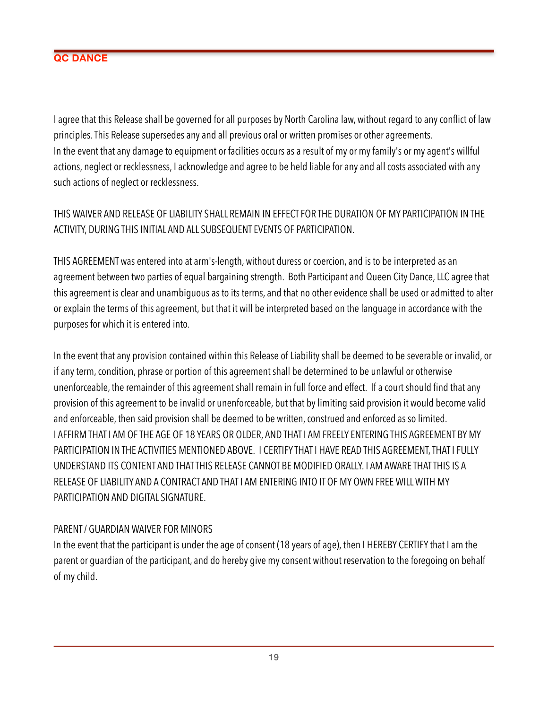I agree that this Release shall be governed for all purposes by North Carolina law, without regard to any conflict of law principles. This Release supersedes any and all previous oral or written promises or other agreements. In the event that any damage to equipment or facilities occurs as a result of my or my family's or my agent's willful actions, neglect or recklessness, I acknowledge and agree to be held liable for any and all costs associated with any such actions of neglect or recklessness.

# THIS WAIVER AND RELEASE OF LIABILITY SHALL REMAIN IN EFFECT FOR THE DURATION OF MY PARTICIPATION IN THE ACTIVITY, DURING THIS INITIAL AND ALL SUBSEQUENT EVENTS OF PARTICIPATION.

THIS AGREEMENT was entered into at arm's-length, without duress or coercion, and is to be interpreted as an agreement between two parties of equal bargaining strength. Both Participant and Queen City Dance, LLC agree that this agreement is clear and unambiguous as to its terms, and that no other evidence shall be used or admitted to alter or explain the terms of this agreement, but that it will be interpreted based on the language in accordance with the purposes for which it is entered into.

In the event that any provision contained within this Release of Liability shall be deemed to be severable or invalid, or if any term, condition, phrase or portion of this agreement shall be determined to be unlawful or otherwise unenforceable, the remainder of this agreement shall remain in full force and effect. If a court should find that any provision of this agreement to be invalid or unenforceable, but that by limiting said provision it would become valid and enforceable, then said provision shall be deemed to be written, construed and enforced as so limited. I AFFIRM THAT I AM OF THE AGE OF 18 YEARS OR OLDER, AND THAT I AM FREELY ENTERING THIS AGREEMENT BY MY PARTICIPATION IN THE ACTIVITIES MENTIONED ABOVE. I CERTIFY THAT I HAVE READ THIS AGREEMENT, THAT I FULLY UNDERSTAND ITS CONTENT AND THAT THIS RELEASE CANNOT BE MODIFIED ORALLY. I AM AWARE THAT THIS IS A RELEASE OF LIABILITY AND A CONTRACT AND THAT I AM ENTERING INTO IT OF MY OWN FREE WILL WITH MY PARTICIPATION AND DIGITAL SIGNATURE.

# PARENT / GUARDIAN WAIVER FOR MINORS

In the event that the participant is under the age of consent (18 years of age), then I HEREBY CERTIFY that I am the parent or guardian of the participant, and do hereby give my consent without reservation to the foregoing on behalf of my child.